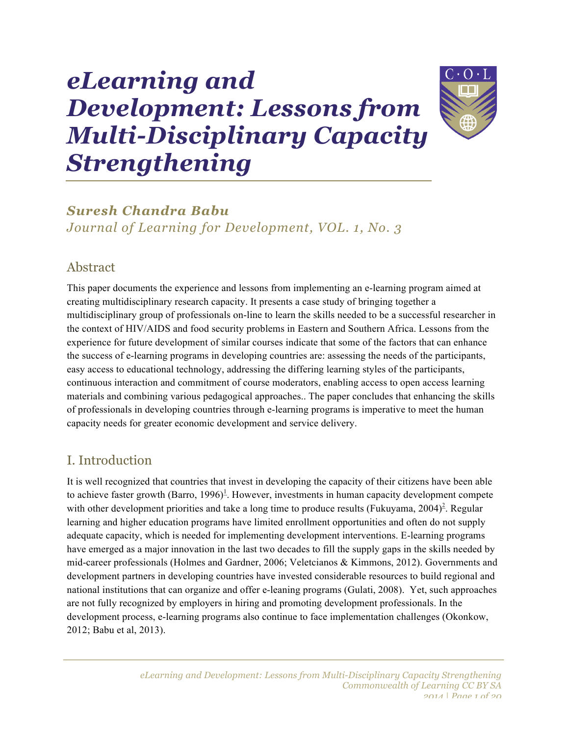# *eLearning and Development: Lessons from Multi-Disciplinary Capacity Strengthening*



# *Suresh Chandra Babu Journal of Learning for Development, VOL. 1, No. 3*

# Abstract

This paper documents the experience and lessons from implementing an e-learning program aimed at creating multidisciplinary research capacity. It presents a case study of bringing together a multidisciplinary group of professionals on-line to learn the skills needed to be a successful researcher in the context of HIV/AIDS and food security problems in Eastern and Southern Africa. Lessons from the experience for future development of similar courses indicate that some of the factors that can enhance the success of e-learning programs in developing countries are: assessing the needs of the participants, easy access to educational technology, addressing the differing learning styles of the participants, continuous interaction and commitment of course moderators, enabling access to open access learning materials and combining various pedagogical approaches.. The paper concludes that enhancing the skills of professionals in developing countries through e-learning programs is imperative to meet the human capacity needs for greater economic development and service delivery.

# I. Introduction

It is well recognized that countries that invest in developing the capacity of their citizens have been able to achieve faster growth (Barro, 1996)<sup>1</sup>. However, investments in human capacity development compete with other development priorities and take a long time to produce results (Fukuyama, 2004)<sup>2</sup>. Regular learning and higher education programs have limited enrollment opportunities and often do not supply adequate capacity, which is needed for implementing development interventions. E-learning programs have emerged as a major innovation in the last two decades to fill the supply gaps in the skills needed by mid-career professionals (Holmes and Gardner, 2006; Veletcianos & Kimmons, 2012). Governments and development partners in developing countries have invested considerable resources to build regional and national institutions that can organize and offer e-leaning programs (Gulati, 2008). Yet, such approaches are not fully recognized by employers in hiring and promoting development professionals. In the development process, e-learning programs also continue to face implementation challenges (Okonkow, 2012; Babu et al, 2013).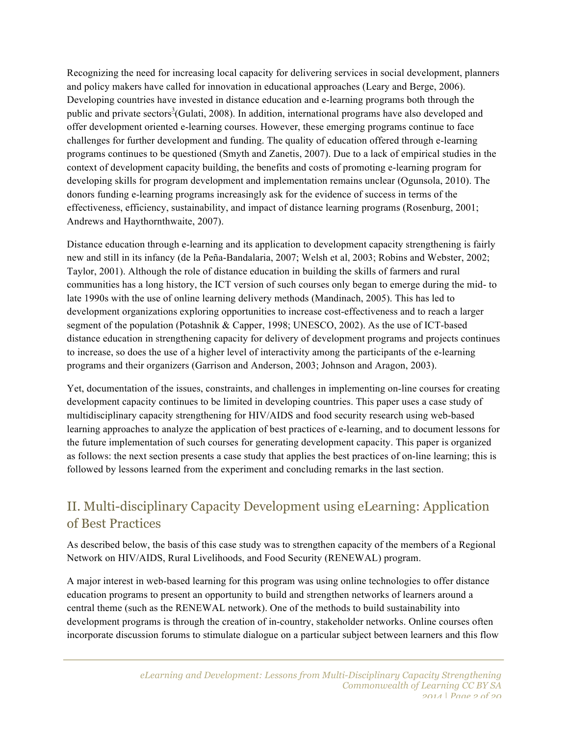Recognizing the need for increasing local capacity for delivering services in social development, planners and policy makers have called for innovation in educational approaches (Leary and Berge, 2006). Developing countries have invested in distance education and e-learning programs both through the public and private sectors<sup>3</sup>(Gulati, 2008). In addition, international programs have also developed and offer development oriented e-learning courses. However, these emerging programs continue to face challenges for further development and funding. The quality of education offered through e-learning programs continues to be questioned (Smyth and Zanetis, 2007). Due to a lack of empirical studies in the context of development capacity building, the benefits and costs of promoting e-learning program for developing skills for program development and implementation remains unclear (Ogunsola, 2010). The donors funding e-learning programs increasingly ask for the evidence of success in terms of the effectiveness, efficiency, sustainability, and impact of distance learning programs (Rosenburg, 2001; Andrews and Haythornthwaite, 2007).

Distance education through e-learning and its application to development capacity strengthening is fairly new and still in its infancy (de la Peña-Bandalaria, 2007; Welsh et al, 2003; Robins and Webster, 2002; Taylor, 2001). Although the role of distance education in building the skills of farmers and rural communities has a long history, the ICT version of such courses only began to emerge during the mid- to late 1990s with the use of online learning delivery methods (Mandinach, 2005). This has led to development organizations exploring opportunities to increase cost-effectiveness and to reach a larger segment of the population (Potashnik & Capper, 1998; UNESCO, 2002). As the use of ICT-based distance education in strengthening capacity for delivery of development programs and projects continues to increase, so does the use of a higher level of interactivity among the participants of the e-learning programs and their organizers (Garrison and Anderson, 2003; Johnson and Aragon, 2003).

Yet, documentation of the issues, constraints, and challenges in implementing on-line courses for creating development capacity continues to be limited in developing countries. This paper uses a case study of multidisciplinary capacity strengthening for HIV/AIDS and food security research using web-based learning approaches to analyze the application of best practices of e-learning, and to document lessons for the future implementation of such courses for generating development capacity. This paper is organized as follows: the next section presents a case study that applies the best practices of on-line learning; this is followed by lessons learned from the experiment and concluding remarks in the last section.

# II. Multi-disciplinary Capacity Development using eLearning: Application of Best Practices

As described below, the basis of this case study was to strengthen capacity of the members of a Regional Network on HIV/AIDS, Rural Livelihoods, and Food Security (RENEWAL) program.

A major interest in web-based learning for this program was using online technologies to offer distance education programs to present an opportunity to build and strengthen networks of learners around a central theme (such as the RENEWAL network). One of the methods to build sustainability into development programs is through the creation of in-country, stakeholder networks. Online courses often incorporate discussion forums to stimulate dialogue on a particular subject between learners and this flow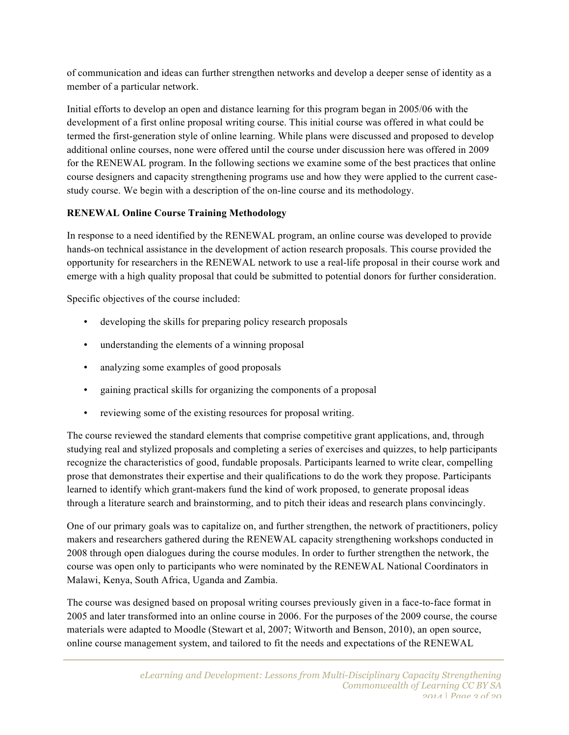of communication and ideas can further strengthen networks and develop a deeper sense of identity as a member of a particular network.

Initial efforts to develop an open and distance learning for this program began in 2005/06 with the development of a first online proposal writing course. This initial course was offered in what could be termed the first-generation style of online learning. While plans were discussed and proposed to develop additional online courses, none were offered until the course under discussion here was offered in 2009 for the RENEWAL program. In the following sections we examine some of the best practices that online course designers and capacity strengthening programs use and how they were applied to the current casestudy course. We begin with a description of the on-line course and its methodology.

## **RENEWAL Online Course Training Methodology**

In response to a need identified by the RENEWAL program, an online course was developed to provide hands-on technical assistance in the development of action research proposals. This course provided the opportunity for researchers in the RENEWAL network to use a real-life proposal in their course work and emerge with a high quality proposal that could be submitted to potential donors for further consideration.

Specific objectives of the course included:

- developing the skills for preparing policy research proposals
- understanding the elements of a winning proposal
- analyzing some examples of good proposals
- gaining practical skills for organizing the components of a proposal
- reviewing some of the existing resources for proposal writing.

The course reviewed the standard elements that comprise competitive grant applications, and, through studying real and stylized proposals and completing a series of exercises and quizzes, to help participants recognize the characteristics of good, fundable proposals. Participants learned to write clear, compelling prose that demonstrates their expertise and their qualifications to do the work they propose. Participants learned to identify which grant-makers fund the kind of work proposed, to generate proposal ideas through a literature search and brainstorming, and to pitch their ideas and research plans convincingly.

One of our primary goals was to capitalize on, and further strengthen, the network of practitioners, policy makers and researchers gathered during the RENEWAL capacity strengthening workshops conducted in 2008 through open dialogues during the course modules. In order to further strengthen the network, the course was open only to participants who were nominated by the RENEWAL National Coordinators in Malawi, Kenya, South Africa, Uganda and Zambia.

The course was designed based on proposal writing courses previously given in a face-to-face format in 2005 and later transformed into an online course in 2006. For the purposes of the 2009 course, the course materials were adapted to Moodle (Stewart et al, 2007; Witworth and Benson, 2010), an open source, online course management system, and tailored to fit the needs and expectations of the RENEWAL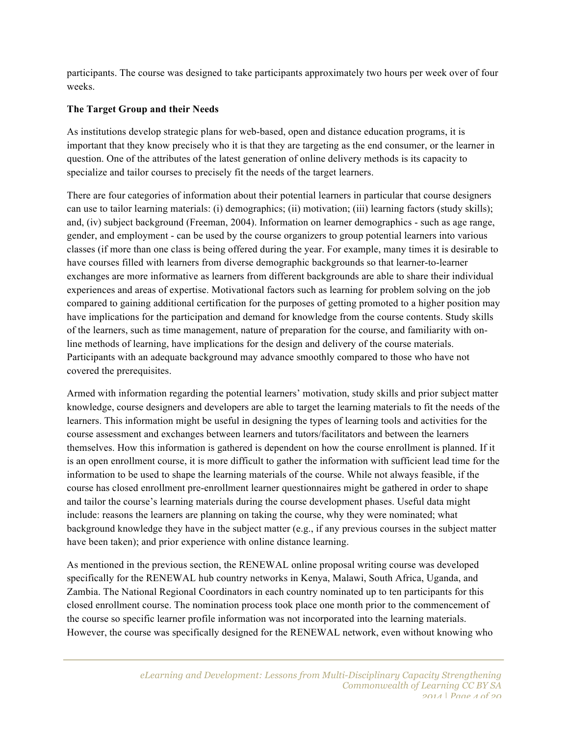participants. The course was designed to take participants approximately two hours per week over of four weeks.

#### **The Target Group and their Needs**

As institutions develop strategic plans for web-based, open and distance education programs, it is important that they know precisely who it is that they are targeting as the end consumer, or the learner in question. One of the attributes of the latest generation of online delivery methods is its capacity to specialize and tailor courses to precisely fit the needs of the target learners.

There are four categories of information about their potential learners in particular that course designers can use to tailor learning materials: (i) demographics; (ii) motivation; (iii) learning factors (study skills); and, (iv) subject background (Freeman, 2004). Information on learner demographics - such as age range, gender, and employment - can be used by the course organizers to group potential learners into various classes (if more than one class is being offered during the year. For example, many times it is desirable to have courses filled with learners from diverse demographic backgrounds so that learner-to-learner exchanges are more informative as learners from different backgrounds are able to share their individual experiences and areas of expertise. Motivational factors such as learning for problem solving on the job compared to gaining additional certification for the purposes of getting promoted to a higher position may have implications for the participation and demand for knowledge from the course contents. Study skills of the learners, such as time management, nature of preparation for the course, and familiarity with online methods of learning, have implications for the design and delivery of the course materials. Participants with an adequate background may advance smoothly compared to those who have not covered the prerequisites.

Armed with information regarding the potential learners' motivation, study skills and prior subject matter knowledge, course designers and developers are able to target the learning materials to fit the needs of the learners. This information might be useful in designing the types of learning tools and activities for the course assessment and exchanges between learners and tutors/facilitators and between the learners themselves. How this information is gathered is dependent on how the course enrollment is planned. If it is an open enrollment course, it is more difficult to gather the information with sufficient lead time for the information to be used to shape the learning materials of the course. While not always feasible, if the course has closed enrollment pre-enrollment learner questionnaires might be gathered in order to shape and tailor the course's learning materials during the course development phases. Useful data might include: reasons the learners are planning on taking the course, why they were nominated; what background knowledge they have in the subject matter (e.g., if any previous courses in the subject matter have been taken); and prior experience with online distance learning.

As mentioned in the previous section, the RENEWAL online proposal writing course was developed specifically for the RENEWAL hub country networks in Kenya, Malawi, South Africa, Uganda, and Zambia. The National Regional Coordinators in each country nominated up to ten participants for this closed enrollment course. The nomination process took place one month prior to the commencement of the course so specific learner profile information was not incorporated into the learning materials. However, the course was specifically designed for the RENEWAL network, even without knowing who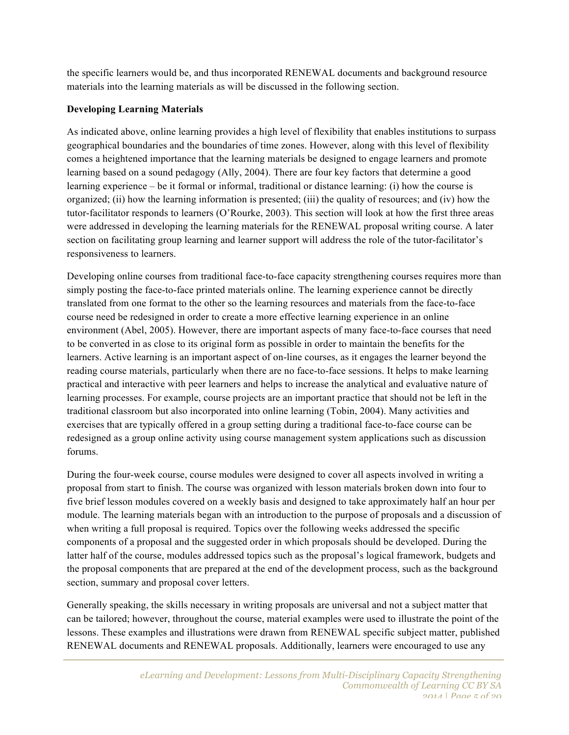the specific learners would be, and thus incorporated RENEWAL documents and background resource materials into the learning materials as will be discussed in the following section.

## **Developing Learning Materials**

As indicated above, online learning provides a high level of flexibility that enables institutions to surpass geographical boundaries and the boundaries of time zones. However, along with this level of flexibility comes a heightened importance that the learning materials be designed to engage learners and promote learning based on a sound pedagogy (Ally, 2004). There are four key factors that determine a good learning experience – be it formal or informal, traditional or distance learning: (i) how the course is organized; (ii) how the learning information is presented; (iii) the quality of resources; and (iv) how the tutor-facilitator responds to learners (O'Rourke, 2003). This section will look at how the first three areas were addressed in developing the learning materials for the RENEWAL proposal writing course. A later section on facilitating group learning and learner support will address the role of the tutor-facilitator's responsiveness to learners.

Developing online courses from traditional face-to-face capacity strengthening courses requires more than simply posting the face-to-face printed materials online. The learning experience cannot be directly translated from one format to the other so the learning resources and materials from the face-to-face course need be redesigned in order to create a more effective learning experience in an online environment (Abel, 2005). However, there are important aspects of many face-to-face courses that need to be converted in as close to its original form as possible in order to maintain the benefits for the learners. Active learning is an important aspect of on-line courses, as it engages the learner beyond the reading course materials, particularly when there are no face-to-face sessions. It helps to make learning practical and interactive with peer learners and helps to increase the analytical and evaluative nature of learning processes. For example, course projects are an important practice that should not be left in the traditional classroom but also incorporated into online learning (Tobin, 2004). Many activities and exercises that are typically offered in a group setting during a traditional face-to-face course can be redesigned as a group online activity using course management system applications such as discussion forums.

During the four-week course, course modules were designed to cover all aspects involved in writing a proposal from start to finish. The course was organized with lesson materials broken down into four to five brief lesson modules covered on a weekly basis and designed to take approximately half an hour per module. The learning materials began with an introduction to the purpose of proposals and a discussion of when writing a full proposal is required. Topics over the following weeks addressed the specific components of a proposal and the suggested order in which proposals should be developed. During the latter half of the course, modules addressed topics such as the proposal's logical framework, budgets and the proposal components that are prepared at the end of the development process, such as the background section, summary and proposal cover letters.

Generally speaking, the skills necessary in writing proposals are universal and not a subject matter that can be tailored; however, throughout the course, material examples were used to illustrate the point of the lessons. These examples and illustrations were drawn from RENEWAL specific subject matter, published RENEWAL documents and RENEWAL proposals. Additionally, learners were encouraged to use any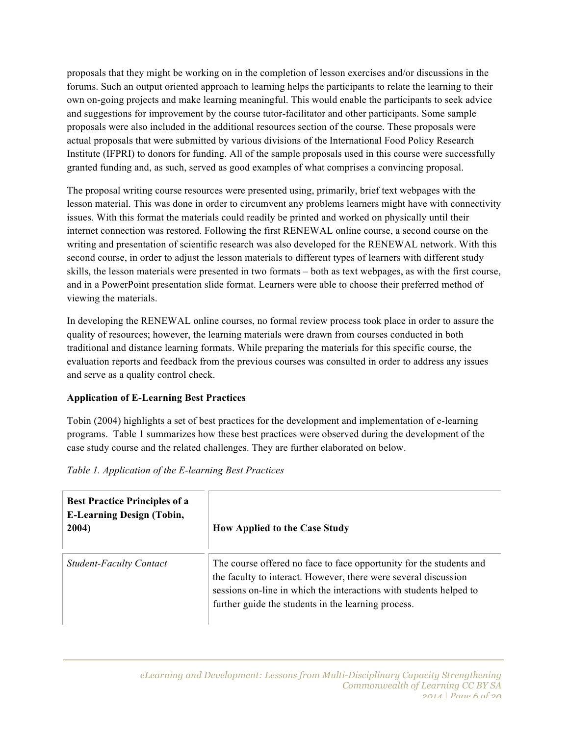proposals that they might be working on in the completion of lesson exercises and/or discussions in the forums. Such an output oriented approach to learning helps the participants to relate the learning to their own on-going projects and make learning meaningful. This would enable the participants to seek advice and suggestions for improvement by the course tutor-facilitator and other participants. Some sample proposals were also included in the additional resources section of the course. These proposals were actual proposals that were submitted by various divisions of the International Food Policy Research Institute (IFPRI) to donors for funding. All of the sample proposals used in this course were successfully granted funding and, as such, served as good examples of what comprises a convincing proposal.

The proposal writing course resources were presented using, primarily, brief text webpages with the lesson material. This was done in order to circumvent any problems learners might have with connectivity issues. With this format the materials could readily be printed and worked on physically until their internet connection was restored. Following the first RENEWAL online course, a second course on the writing and presentation of scientific research was also developed for the RENEWAL network. With this second course, in order to adjust the lesson materials to different types of learners with different study skills, the lesson materials were presented in two formats – both as text webpages, as with the first course, and in a PowerPoint presentation slide format. Learners were able to choose their preferred method of viewing the materials.

In developing the RENEWAL online courses, no formal review process took place in order to assure the quality of resources; however, the learning materials were drawn from courses conducted in both traditional and distance learning formats. While preparing the materials for this specific course, the evaluation reports and feedback from the previous courses was consulted in order to address any issues and serve as a quality control check.

## **Application of E-Learning Best Practices**

Tobin (2004) highlights a set of best practices for the development and implementation of e-learning programs. Table 1 summarizes how these best practices were observed during the development of the case study course and the related challenges. They are further elaborated on below.

## *Table 1. Application of the E-learning Best Practices*

| <b>Best Practice Principles of a</b><br><b>E-Learning Design (Tobin,</b><br>2004) | <b>How Applied to the Case Study</b>                                                                                                                                                                                                                                |
|-----------------------------------------------------------------------------------|---------------------------------------------------------------------------------------------------------------------------------------------------------------------------------------------------------------------------------------------------------------------|
| <b>Student-Faculty Contact</b>                                                    | The course offered no face to face opportunity for the students and<br>the faculty to interact. However, there were several discussion<br>sessions on-line in which the interactions with students helped to<br>further guide the students in the learning process. |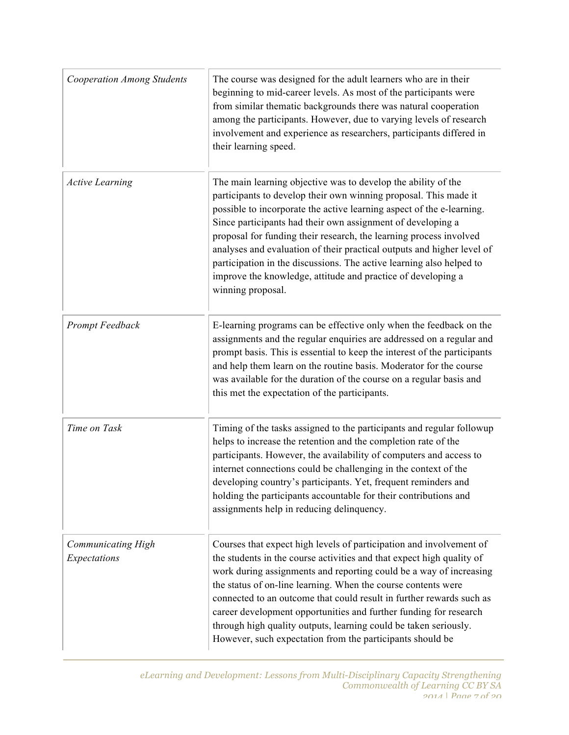| <b>Cooperation Among Students</b>  | The course was designed for the adult learners who are in their<br>beginning to mid-career levels. As most of the participants were<br>from similar thematic backgrounds there was natural cooperation<br>among the participants. However, due to varying levels of research<br>involvement and experience as researchers, participants differed in<br>their learning speed.                                                                                                                                                                                                           |
|------------------------------------|----------------------------------------------------------------------------------------------------------------------------------------------------------------------------------------------------------------------------------------------------------------------------------------------------------------------------------------------------------------------------------------------------------------------------------------------------------------------------------------------------------------------------------------------------------------------------------------|
| <b>Active Learning</b>             | The main learning objective was to develop the ability of the<br>participants to develop their own winning proposal. This made it<br>possible to incorporate the active learning aspect of the e-learning.<br>Since participants had their own assignment of developing a<br>proposal for funding their research, the learning process involved<br>analyses and evaluation of their practical outputs and higher level of<br>participation in the discussions. The active learning also helped to<br>improve the knowledge, attitude and practice of developing a<br>winning proposal. |
| Prompt Feedback                    | E-learning programs can be effective only when the feedback on the<br>assignments and the regular enquiries are addressed on a regular and<br>prompt basis. This is essential to keep the interest of the participants<br>and help them learn on the routine basis. Moderator for the course<br>was available for the duration of the course on a regular basis and<br>this met the expectation of the participants.                                                                                                                                                                   |
| Time on Task                       | Timing of the tasks assigned to the participants and regular followup<br>helps to increase the retention and the completion rate of the<br>participants. However, the availability of computers and access to<br>internet connections could be challenging in the context of the<br>developing country's participants. Yet, frequent reminders and<br>holding the participants accountable for their contributions and<br>assignments help in reducing delinquency.                                                                                                                    |
| Communicating High<br>Expectations | Courses that expect high levels of participation and involvement of<br>the students in the course activities and that expect high quality of<br>work during assignments and reporting could be a way of increasing<br>the status of on-line learning. When the course contents were<br>connected to an outcome that could result in further rewards such as<br>career development opportunities and further funding for research<br>through high quality outputs, learning could be taken seriously.<br>However, such expectation from the participants should be                      |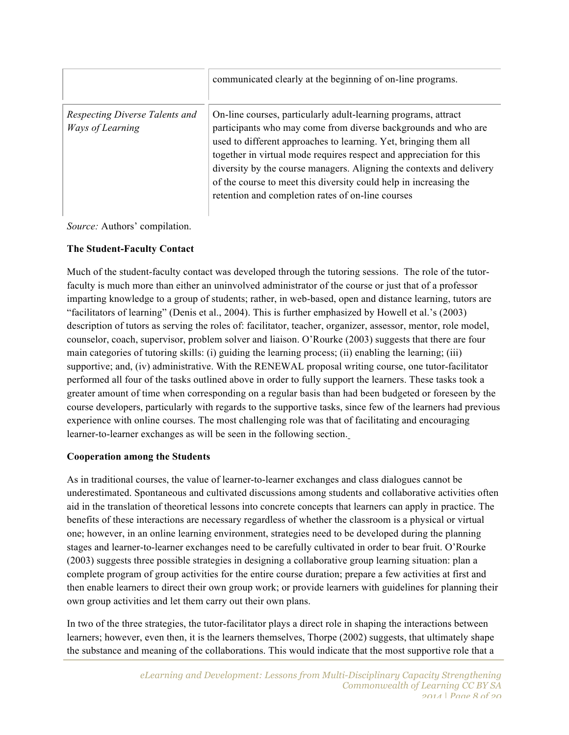|                                                    | communicated clearly at the beginning of on-line programs.                                                                                                                                                                                                                                                                                                                                                                                                                    |
|----------------------------------------------------|-------------------------------------------------------------------------------------------------------------------------------------------------------------------------------------------------------------------------------------------------------------------------------------------------------------------------------------------------------------------------------------------------------------------------------------------------------------------------------|
| Respecting Diverse Talents and<br>Ways of Learning | On-line courses, particularly adult-learning programs, attract<br>participants who may come from diverse backgrounds and who are<br>used to different approaches to learning. Yet, bringing them all<br>together in virtual mode requires respect and appreciation for this<br>diversity by the course managers. Aligning the contexts and delivery<br>of the course to meet this diversity could help in increasing the<br>retention and completion rates of on-line courses |

*Source:* Authors' compilation.

#### **The Student-Faculty Contact**

Much of the student-faculty contact was developed through the tutoring sessions. The role of the tutorfaculty is much more than either an uninvolved administrator of the course or just that of a professor imparting knowledge to a group of students; rather, in web-based, open and distance learning, tutors are "facilitators of learning" (Denis et al., 2004). This is further emphasized by Howell et al.'s (2003) description of tutors as serving the roles of: facilitator, teacher, organizer, assessor, mentor, role model, counselor, coach, supervisor, problem solver and liaison. O'Rourke (2003) suggests that there are four main categories of tutoring skills: (i) guiding the learning process; (ii) enabling the learning; (iii) supportive; and, (iv) administrative. With the RENEWAL proposal writing course, one tutor-facilitator performed all four of the tasks outlined above in order to fully support the learners. These tasks took a greater amount of time when corresponding on a regular basis than had been budgeted or foreseen by the course developers, particularly with regards to the supportive tasks, since few of the learners had previous experience with online courses. The most challenging role was that of facilitating and encouraging learner-to-learner exchanges as will be seen in the following section.

#### **Cooperation among the Students**

As in traditional courses, the value of learner-to-learner exchanges and class dialogues cannot be underestimated. Spontaneous and cultivated discussions among students and collaborative activities often aid in the translation of theoretical lessons into concrete concepts that learners can apply in practice. The benefits of these interactions are necessary regardless of whether the classroom is a physical or virtual one; however, in an online learning environment, strategies need to be developed during the planning stages and learner-to-learner exchanges need to be carefully cultivated in order to bear fruit. O'Rourke (2003) suggests three possible strategies in designing a collaborative group learning situation: plan a complete program of group activities for the entire course duration; prepare a few activities at first and then enable learners to direct their own group work; or provide learners with guidelines for planning their own group activities and let them carry out their own plans.

In two of the three strategies, the tutor-facilitator plays a direct role in shaping the interactions between learners; however, even then, it is the learners themselves, Thorpe (2002) suggests, that ultimately shape the substance and meaning of the collaborations. This would indicate that the most supportive role that a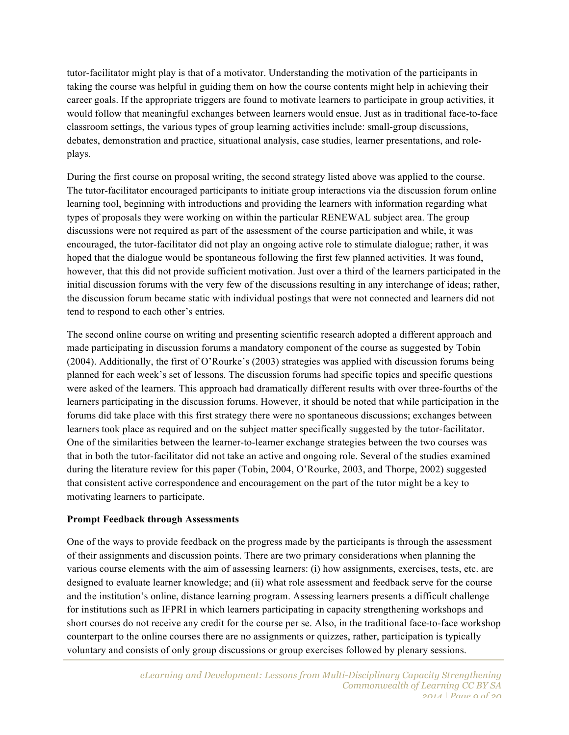tutor-facilitator might play is that of a motivator. Understanding the motivation of the participants in taking the course was helpful in guiding them on how the course contents might help in achieving their career goals. If the appropriate triggers are found to motivate learners to participate in group activities, it would follow that meaningful exchanges between learners would ensue. Just as in traditional face-to-face classroom settings, the various types of group learning activities include: small-group discussions, debates, demonstration and practice, situational analysis, case studies, learner presentations, and roleplays.

During the first course on proposal writing, the second strategy listed above was applied to the course. The tutor-facilitator encouraged participants to initiate group interactions via the discussion forum online learning tool, beginning with introductions and providing the learners with information regarding what types of proposals they were working on within the particular RENEWAL subject area. The group discussions were not required as part of the assessment of the course participation and while, it was encouraged, the tutor-facilitator did not play an ongoing active role to stimulate dialogue; rather, it was hoped that the dialogue would be spontaneous following the first few planned activities. It was found, however, that this did not provide sufficient motivation. Just over a third of the learners participated in the initial discussion forums with the very few of the discussions resulting in any interchange of ideas; rather, the discussion forum became static with individual postings that were not connected and learners did not tend to respond to each other's entries.

The second online course on writing and presenting scientific research adopted a different approach and made participating in discussion forums a mandatory component of the course as suggested by Tobin (2004). Additionally, the first of O'Rourke's (2003) strategies was applied with discussion forums being planned for each week's set of lessons. The discussion forums had specific topics and specific questions were asked of the learners. This approach had dramatically different results with over three-fourths of the learners participating in the discussion forums. However, it should be noted that while participation in the forums did take place with this first strategy there were no spontaneous discussions; exchanges between learners took place as required and on the subject matter specifically suggested by the tutor-facilitator. One of the similarities between the learner-to-learner exchange strategies between the two courses was that in both the tutor-facilitator did not take an active and ongoing role. Several of the studies examined during the literature review for this paper (Tobin, 2004, O'Rourke, 2003, and Thorpe, 2002) suggested that consistent active correspondence and encouragement on the part of the tutor might be a key to motivating learners to participate.

#### **Prompt Feedback through Assessments**

One of the ways to provide feedback on the progress made by the participants is through the assessment of their assignments and discussion points. There are two primary considerations when planning the various course elements with the aim of assessing learners: (i) how assignments, exercises, tests, etc. are designed to evaluate learner knowledge; and (ii) what role assessment and feedback serve for the course and the institution's online, distance learning program. Assessing learners presents a difficult challenge for institutions such as IFPRI in which learners participating in capacity strengthening workshops and short courses do not receive any credit for the course per se. Also, in the traditional face-to-face workshop counterpart to the online courses there are no assignments or quizzes, rather, participation is typically voluntary and consists of only group discussions or group exercises followed by plenary sessions.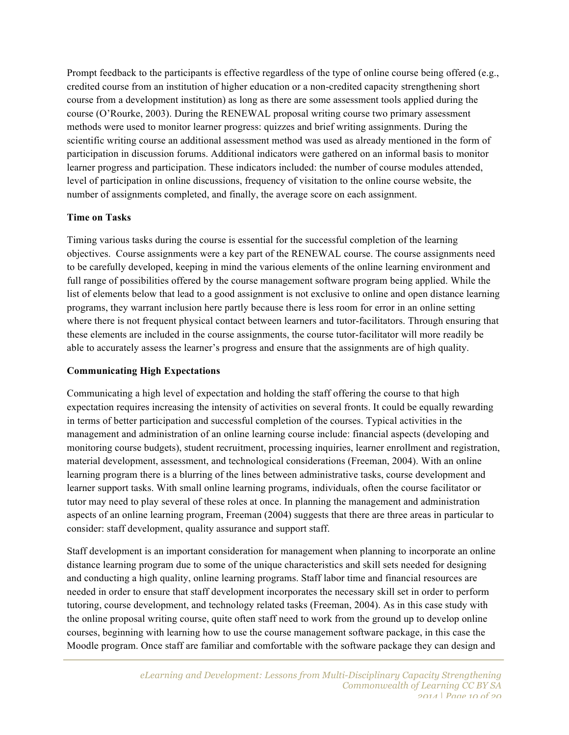Prompt feedback to the participants is effective regardless of the type of online course being offered (e.g., credited course from an institution of higher education or a non-credited capacity strengthening short course from a development institution) as long as there are some assessment tools applied during the course (O'Rourke, 2003). During the RENEWAL proposal writing course two primary assessment methods were used to monitor learner progress: quizzes and brief writing assignments. During the scientific writing course an additional assessment method was used as already mentioned in the form of participation in discussion forums. Additional indicators were gathered on an informal basis to monitor learner progress and participation. These indicators included: the number of course modules attended, level of participation in online discussions, frequency of visitation to the online course website, the number of assignments completed, and finally, the average score on each assignment.

#### **Time on Tasks**

Timing various tasks during the course is essential for the successful completion of the learning objectives. Course assignments were a key part of the RENEWAL course. The course assignments need to be carefully developed, keeping in mind the various elements of the online learning environment and full range of possibilities offered by the course management software program being applied. While the list of elements below that lead to a good assignment is not exclusive to online and open distance learning programs, they warrant inclusion here partly because there is less room for error in an online setting where there is not frequent physical contact between learners and tutor-facilitators. Through ensuring that these elements are included in the course assignments, the course tutor-facilitator will more readily be able to accurately assess the learner's progress and ensure that the assignments are of high quality.

#### **Communicating High Expectations**

Communicating a high level of expectation and holding the staff offering the course to that high expectation requires increasing the intensity of activities on several fronts. It could be equally rewarding in terms of better participation and successful completion of the courses. Typical activities in the management and administration of an online learning course include: financial aspects (developing and monitoring course budgets), student recruitment, processing inquiries, learner enrollment and registration, material development, assessment, and technological considerations (Freeman, 2004). With an online learning program there is a blurring of the lines between administrative tasks, course development and learner support tasks. With small online learning programs, individuals, often the course facilitator or tutor may need to play several of these roles at once. In planning the management and administration aspects of an online learning program, Freeman (2004) suggests that there are three areas in particular to consider: staff development, quality assurance and support staff.

Staff development is an important consideration for management when planning to incorporate an online distance learning program due to some of the unique characteristics and skill sets needed for designing and conducting a high quality, online learning programs. Staff labor time and financial resources are needed in order to ensure that staff development incorporates the necessary skill set in order to perform tutoring, course development, and technology related tasks (Freeman, 2004). As in this case study with the online proposal writing course, quite often staff need to work from the ground up to develop online courses, beginning with learning how to use the course management software package, in this case the Moodle program. Once staff are familiar and comfortable with the software package they can design and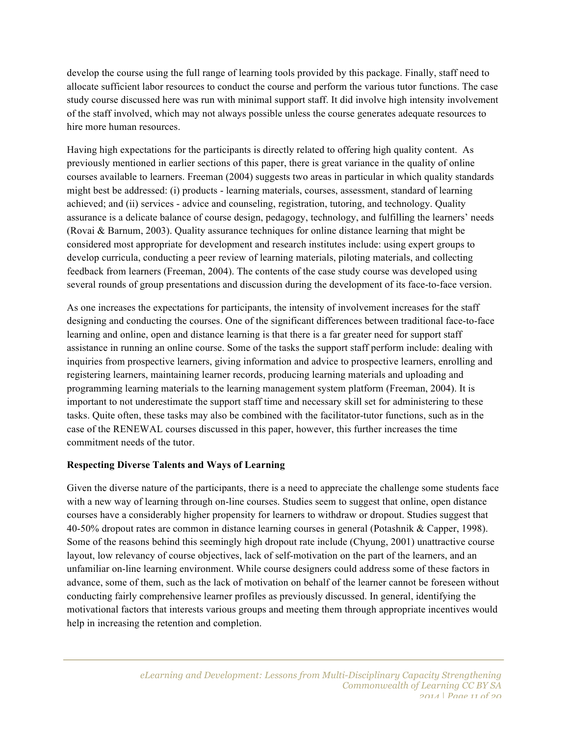develop the course using the full range of learning tools provided by this package. Finally, staff need to allocate sufficient labor resources to conduct the course and perform the various tutor functions. The case study course discussed here was run with minimal support staff. It did involve high intensity involvement of the staff involved, which may not always possible unless the course generates adequate resources to hire more human resources.

Having high expectations for the participants is directly related to offering high quality content. As previously mentioned in earlier sections of this paper, there is great variance in the quality of online courses available to learners. Freeman (2004) suggests two areas in particular in which quality standards might best be addressed: (i) products - learning materials, courses, assessment, standard of learning achieved; and (ii) services - advice and counseling, registration, tutoring, and technology. Quality assurance is a delicate balance of course design, pedagogy, technology, and fulfilling the learners' needs (Rovai & Barnum, 2003). Quality assurance techniques for online distance learning that might be considered most appropriate for development and research institutes include: using expert groups to develop curricula, conducting a peer review of learning materials, piloting materials, and collecting feedback from learners (Freeman, 2004). The contents of the case study course was developed using several rounds of group presentations and discussion during the development of its face-to-face version.

As one increases the expectations for participants, the intensity of involvement increases for the staff designing and conducting the courses. One of the significant differences between traditional face-to-face learning and online, open and distance learning is that there is a far greater need for support staff assistance in running an online course. Some of the tasks the support staff perform include: dealing with inquiries from prospective learners, giving information and advice to prospective learners, enrolling and registering learners, maintaining learner records, producing learning materials and uploading and programming learning materials to the learning management system platform (Freeman, 2004). It is important to not underestimate the support staff time and necessary skill set for administering to these tasks. Quite often, these tasks may also be combined with the facilitator-tutor functions, such as in the case of the RENEWAL courses discussed in this paper, however, this further increases the time commitment needs of the tutor.

#### **Respecting Diverse Talents and Ways of Learning**

Given the diverse nature of the participants, there is a need to appreciate the challenge some students face with a new way of learning through on-line courses. Studies seem to suggest that online, open distance courses have a considerably higher propensity for learners to withdraw or dropout. Studies suggest that 40-50% dropout rates are common in distance learning courses in general (Potashnik & Capper, 1998). Some of the reasons behind this seemingly high dropout rate include (Chyung, 2001) unattractive course layout, low relevancy of course objectives, lack of self-motivation on the part of the learners, and an unfamiliar on-line learning environment. While course designers could address some of these factors in advance, some of them, such as the lack of motivation on behalf of the learner cannot be foreseen without conducting fairly comprehensive learner profiles as previously discussed. In general, identifying the motivational factors that interests various groups and meeting them through appropriate incentives would help in increasing the retention and completion.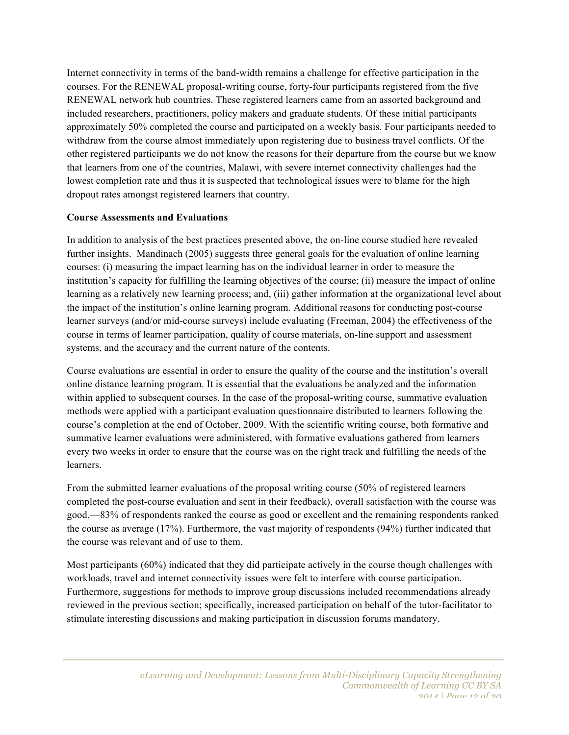Internet connectivity in terms of the band-width remains a challenge for effective participation in the courses. For the RENEWAL proposal-writing course, forty-four participants registered from the five RENEWAL network hub countries. These registered learners came from an assorted background and included researchers, practitioners, policy makers and graduate students. Of these initial participants approximately 50% completed the course and participated on a weekly basis. Four participants needed to withdraw from the course almost immediately upon registering due to business travel conflicts. Of the other registered participants we do not know the reasons for their departure from the course but we know that learners from one of the countries, Malawi, with severe internet connectivity challenges had the lowest completion rate and thus it is suspected that technological issues were to blame for the high dropout rates amongst registered learners that country.

#### **Course Assessments and Evaluations**

In addition to analysis of the best practices presented above, the on-line course studied here revealed further insights. Mandinach (2005) suggests three general goals for the evaluation of online learning courses: (i) measuring the impact learning has on the individual learner in order to measure the institution's capacity for fulfilling the learning objectives of the course; (ii) measure the impact of online learning as a relatively new learning process; and, (iii) gather information at the organizational level about the impact of the institution's online learning program. Additional reasons for conducting post-course learner surveys (and/or mid-course surveys) include evaluating (Freeman, 2004) the effectiveness of the course in terms of learner participation, quality of course materials, on-line support and assessment systems, and the accuracy and the current nature of the contents.

Course evaluations are essential in order to ensure the quality of the course and the institution's overall online distance learning program. It is essential that the evaluations be analyzed and the information within applied to subsequent courses. In the case of the proposal-writing course, summative evaluation methods were applied with a participant evaluation questionnaire distributed to learners following the course's completion at the end of October, 2009. With the scientific writing course, both formative and summative learner evaluations were administered, with formative evaluations gathered from learners every two weeks in order to ensure that the course was on the right track and fulfilling the needs of the learners.

From the submitted learner evaluations of the proposal writing course (50% of registered learners completed the post-course evaluation and sent in their feedback), overall satisfaction with the course was good,—83% of respondents ranked the course as good or excellent and the remaining respondents ranked the course as average (17%). Furthermore, the vast majority of respondents (94%) further indicated that the course was relevant and of use to them.

Most participants (60%) indicated that they did participate actively in the course though challenges with workloads, travel and internet connectivity issues were felt to interfere with course participation. Furthermore, suggestions for methods to improve group discussions included recommendations already reviewed in the previous section; specifically, increased participation on behalf of the tutor-facilitator to stimulate interesting discussions and making participation in discussion forums mandatory.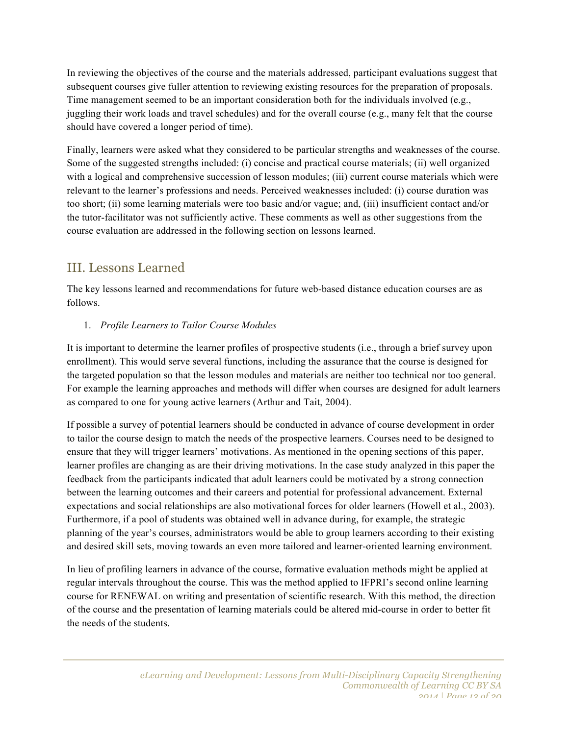In reviewing the objectives of the course and the materials addressed, participant evaluations suggest that subsequent courses give fuller attention to reviewing existing resources for the preparation of proposals. Time management seemed to be an important consideration both for the individuals involved (e.g., juggling their work loads and travel schedules) and for the overall course (e.g., many felt that the course should have covered a longer period of time).

Finally, learners were asked what they considered to be particular strengths and weaknesses of the course. Some of the suggested strengths included: (i) concise and practical course materials; (ii) well organized with a logical and comprehensive succession of lesson modules; (iii) current course materials which were relevant to the learner's professions and needs. Perceived weaknesses included: (i) course duration was too short; (ii) some learning materials were too basic and/or vague; and, (iii) insufficient contact and/or the tutor-facilitator was not sufficiently active. These comments as well as other suggestions from the course evaluation are addressed in the following section on lessons learned.

# III. Lessons Learned

The key lessons learned and recommendations for future web-based distance education courses are as follows.

# 1. *Profile Learners to Tailor Course Modules*

It is important to determine the learner profiles of prospective students (i.e., through a brief survey upon enrollment). This would serve several functions, including the assurance that the course is designed for the targeted population so that the lesson modules and materials are neither too technical nor too general. For example the learning approaches and methods will differ when courses are designed for adult learners as compared to one for young active learners (Arthur and Tait, 2004).

If possible a survey of potential learners should be conducted in advance of course development in order to tailor the course design to match the needs of the prospective learners. Courses need to be designed to ensure that they will trigger learners' motivations. As mentioned in the opening sections of this paper, learner profiles are changing as are their driving motivations. In the case study analyzed in this paper the feedback from the participants indicated that adult learners could be motivated by a strong connection between the learning outcomes and their careers and potential for professional advancement. External expectations and social relationships are also motivational forces for older learners (Howell et al., 2003). Furthermore, if a pool of students was obtained well in advance during, for example, the strategic planning of the year's courses, administrators would be able to group learners according to their existing and desired skill sets, moving towards an even more tailored and learner-oriented learning environment.

In lieu of profiling learners in advance of the course, formative evaluation methods might be applied at regular intervals throughout the course. This was the method applied to IFPRI's second online learning course for RENEWAL on writing and presentation of scientific research. With this method, the direction of the course and the presentation of learning materials could be altered mid-course in order to better fit the needs of the students.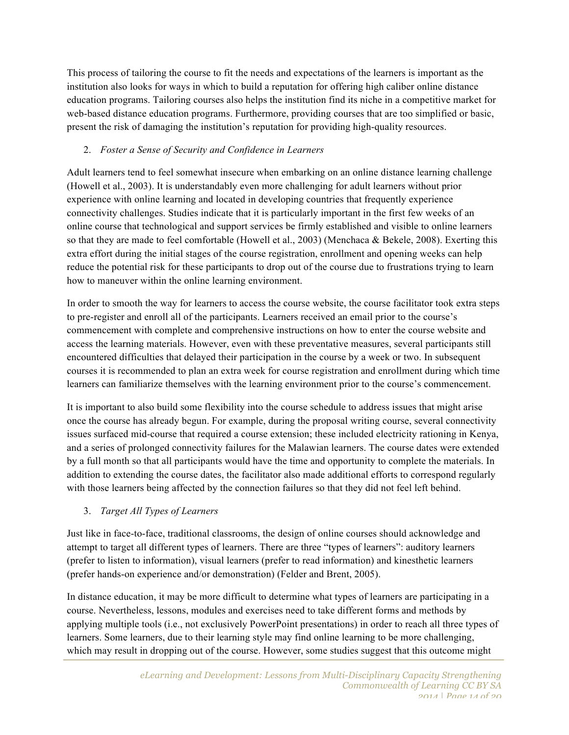This process of tailoring the course to fit the needs and expectations of the learners is important as the institution also looks for ways in which to build a reputation for offering high caliber online distance education programs. Tailoring courses also helps the institution find its niche in a competitive market for web-based distance education programs. Furthermore, providing courses that are too simplified or basic, present the risk of damaging the institution's reputation for providing high-quality resources.

## 2. *Foster a Sense of Security and Confidence in Learners*

Adult learners tend to feel somewhat insecure when embarking on an online distance learning challenge (Howell et al., 2003). It is understandably even more challenging for adult learners without prior experience with online learning and located in developing countries that frequently experience connectivity challenges. Studies indicate that it is particularly important in the first few weeks of an online course that technological and support services be firmly established and visible to online learners so that they are made to feel comfortable (Howell et al., 2003) (Menchaca & Bekele, 2008). Exerting this extra effort during the initial stages of the course registration, enrollment and opening weeks can help reduce the potential risk for these participants to drop out of the course due to frustrations trying to learn how to maneuver within the online learning environment.

In order to smooth the way for learners to access the course website, the course facilitator took extra steps to pre-register and enroll all of the participants. Learners received an email prior to the course's commencement with complete and comprehensive instructions on how to enter the course website and access the learning materials. However, even with these preventative measures, several participants still encountered difficulties that delayed their participation in the course by a week or two. In subsequent courses it is recommended to plan an extra week for course registration and enrollment during which time learners can familiarize themselves with the learning environment prior to the course's commencement.

It is important to also build some flexibility into the course schedule to address issues that might arise once the course has already begun. For example, during the proposal writing course, several connectivity issues surfaced mid-course that required a course extension; these included electricity rationing in Kenya, and a series of prolonged connectivity failures for the Malawian learners. The course dates were extended by a full month so that all participants would have the time and opportunity to complete the materials. In addition to extending the course dates, the facilitator also made additional efforts to correspond regularly with those learners being affected by the connection failures so that they did not feel left behind.

# 3. *Target All Types of Learners*

Just like in face-to-face, traditional classrooms, the design of online courses should acknowledge and attempt to target all different types of learners. There are three "types of learners": auditory learners (prefer to listen to information), visual learners (prefer to read information) and kinesthetic learners (prefer hands-on experience and/or demonstration) (Felder and Brent, 2005).

In distance education, it may be more difficult to determine what types of learners are participating in a course. Nevertheless, lessons, modules and exercises need to take different forms and methods by applying multiple tools (i.e., not exclusively PowerPoint presentations) in order to reach all three types of learners. Some learners, due to their learning style may find online learning to be more challenging, which may result in dropping out of the course. However, some studies suggest that this outcome might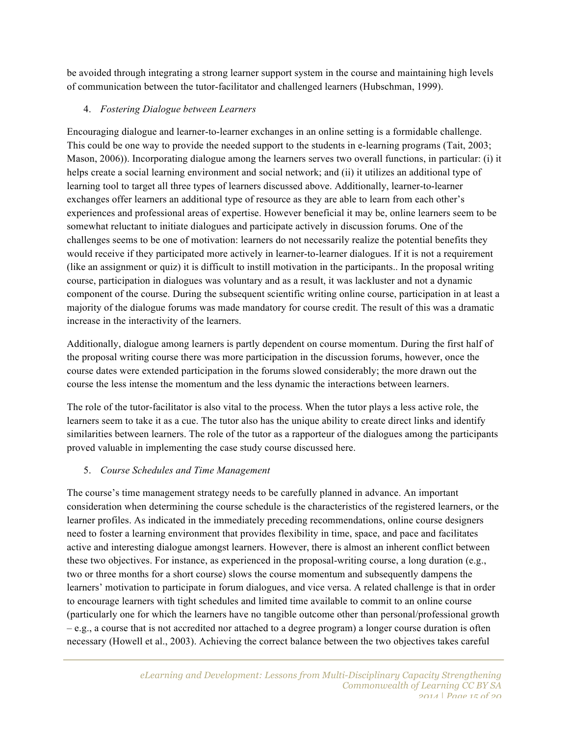be avoided through integrating a strong learner support system in the course and maintaining high levels of communication between the tutor-facilitator and challenged learners (Hubschman, 1999).

## 4. *Fostering Dialogue between Learners*

Encouraging dialogue and learner-to-learner exchanges in an online setting is a formidable challenge. This could be one way to provide the needed support to the students in e-learning programs (Tait, 2003; Mason, 2006)). Incorporating dialogue among the learners serves two overall functions, in particular: (i) it helps create a social learning environment and social network; and (ii) it utilizes an additional type of learning tool to target all three types of learners discussed above. Additionally, learner-to-learner exchanges offer learners an additional type of resource as they are able to learn from each other's experiences and professional areas of expertise. However beneficial it may be, online learners seem to be somewhat reluctant to initiate dialogues and participate actively in discussion forums. One of the challenges seems to be one of motivation: learners do not necessarily realize the potential benefits they would receive if they participated more actively in learner-to-learner dialogues. If it is not a requirement (like an assignment or quiz) it is difficult to instill motivation in the participants.. In the proposal writing course, participation in dialogues was voluntary and as a result, it was lackluster and not a dynamic component of the course. During the subsequent scientific writing online course, participation in at least a majority of the dialogue forums was made mandatory for course credit. The result of this was a dramatic increase in the interactivity of the learners.

Additionally, dialogue among learners is partly dependent on course momentum. During the first half of the proposal writing course there was more participation in the discussion forums, however, once the course dates were extended participation in the forums slowed considerably; the more drawn out the course the less intense the momentum and the less dynamic the interactions between learners.

The role of the tutor-facilitator is also vital to the process. When the tutor plays a less active role, the learners seem to take it as a cue. The tutor also has the unique ability to create direct links and identify similarities between learners. The role of the tutor as a rapporteur of the dialogues among the participants proved valuable in implementing the case study course discussed here.

## 5. *Course Schedules and Time Management*

The course's time management strategy needs to be carefully planned in advance. An important consideration when determining the course schedule is the characteristics of the registered learners, or the learner profiles. As indicated in the immediately preceding recommendations, online course designers need to foster a learning environment that provides flexibility in time, space, and pace and facilitates active and interesting dialogue amongst learners. However, there is almost an inherent conflict between these two objectives. For instance, as experienced in the proposal-writing course, a long duration (e.g., two or three months for a short course) slows the course momentum and subsequently dampens the learners' motivation to participate in forum dialogues, and vice versa. A related challenge is that in order to encourage learners with tight schedules and limited time available to commit to an online course (particularly one for which the learners have no tangible outcome other than personal/professional growth – e.g., a course that is not accredited nor attached to a degree program) a longer course duration is often necessary (Howell et al., 2003). Achieving the correct balance between the two objectives takes careful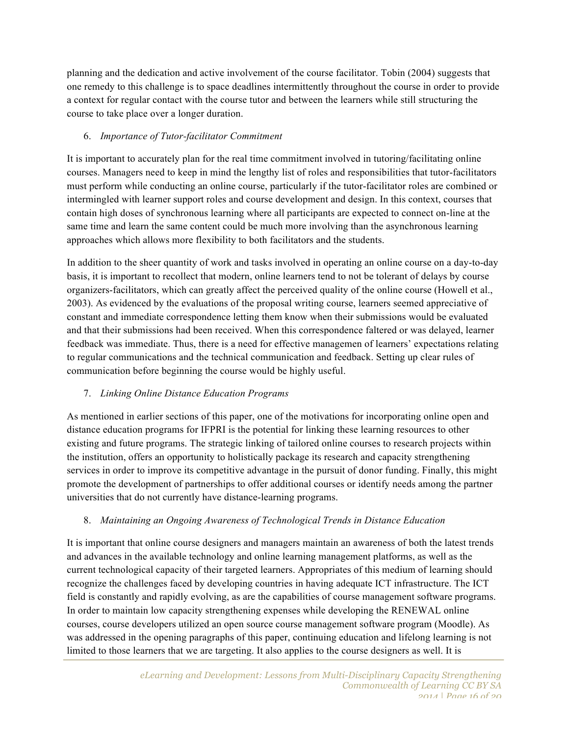planning and the dedication and active involvement of the course facilitator. Tobin (2004) suggests that one remedy to this challenge is to space deadlines intermittently throughout the course in order to provide a context for regular contact with the course tutor and between the learners while still structuring the course to take place over a longer duration.

## 6. *Importance of Tutor-facilitator Commitment*

It is important to accurately plan for the real time commitment involved in tutoring/facilitating online courses. Managers need to keep in mind the lengthy list of roles and responsibilities that tutor-facilitators must perform while conducting an online course, particularly if the tutor-facilitator roles are combined or intermingled with learner support roles and course development and design. In this context, courses that contain high doses of synchronous learning where all participants are expected to connect on-line at the same time and learn the same content could be much more involving than the asynchronous learning approaches which allows more flexibility to both facilitators and the students.

In addition to the sheer quantity of work and tasks involved in operating an online course on a day-to-day basis, it is important to recollect that modern, online learners tend to not be tolerant of delays by course organizers-facilitators, which can greatly affect the perceived quality of the online course (Howell et al., 2003). As evidenced by the evaluations of the proposal writing course, learners seemed appreciative of constant and immediate correspondence letting them know when their submissions would be evaluated and that their submissions had been received. When this correspondence faltered or was delayed, learner feedback was immediate. Thus, there is a need for effective managemen of learners' expectations relating to regular communications and the technical communication and feedback. Setting up clear rules of communication before beginning the course would be highly useful.

## 7. *Linking Online Distance Education Programs*

As mentioned in earlier sections of this paper, one of the motivations for incorporating online open and distance education programs for IFPRI is the potential for linking these learning resources to other existing and future programs. The strategic linking of tailored online courses to research projects within the institution, offers an opportunity to holistically package its research and capacity strengthening services in order to improve its competitive advantage in the pursuit of donor funding. Finally, this might promote the development of partnerships to offer additional courses or identify needs among the partner universities that do not currently have distance-learning programs.

#### 8. *Maintaining an Ongoing Awareness of Technological Trends in Distance Education*

It is important that online course designers and managers maintain an awareness of both the latest trends and advances in the available technology and online learning management platforms, as well as the current technological capacity of their targeted learners. Appropriates of this medium of learning should recognize the challenges faced by developing countries in having adequate ICT infrastructure. The ICT field is constantly and rapidly evolving, as are the capabilities of course management software programs. In order to maintain low capacity strengthening expenses while developing the RENEWAL online courses, course developers utilized an open source course management software program (Moodle). As was addressed in the opening paragraphs of this paper, continuing education and lifelong learning is not limited to those learners that we are targeting. It also applies to the course designers as well. It is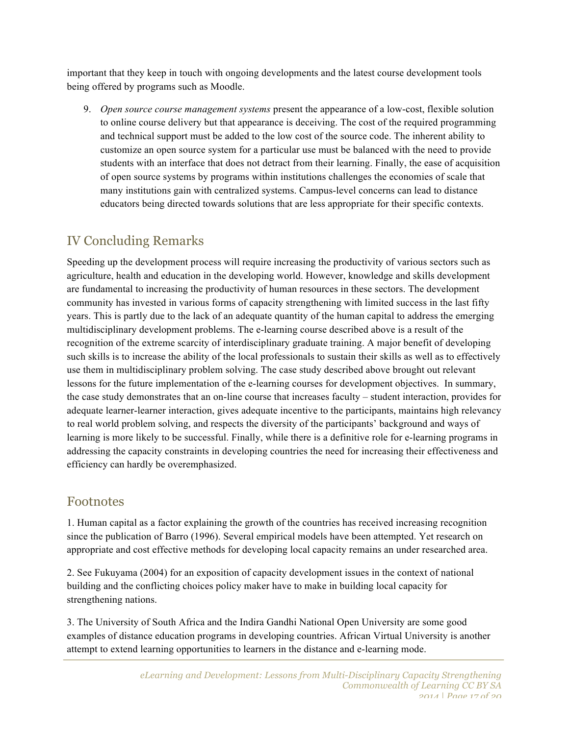important that they keep in touch with ongoing developments and the latest course development tools being offered by programs such as Moodle.

9. *Open source course management systems* present the appearance of a low-cost, flexible solution to online course delivery but that appearance is deceiving. The cost of the required programming and technical support must be added to the low cost of the source code. The inherent ability to customize an open source system for a particular use must be balanced with the need to provide students with an interface that does not detract from their learning. Finally, the ease of acquisition of open source systems by programs within institutions challenges the economies of scale that many institutions gain with centralized systems. Campus-level concerns can lead to distance educators being directed towards solutions that are less appropriate for their specific contexts.

# IV Concluding Remarks

Speeding up the development process will require increasing the productivity of various sectors such as agriculture, health and education in the developing world. However, knowledge and skills development are fundamental to increasing the productivity of human resources in these sectors. The development community has invested in various forms of capacity strengthening with limited success in the last fifty years. This is partly due to the lack of an adequate quantity of the human capital to address the emerging multidisciplinary development problems. The e-learning course described above is a result of the recognition of the extreme scarcity of interdisciplinary graduate training. A major benefit of developing such skills is to increase the ability of the local professionals to sustain their skills as well as to effectively use them in multidisciplinary problem solving. The case study described above brought out relevant lessons for the future implementation of the e-learning courses for development objectives. In summary, the case study demonstrates that an on-line course that increases faculty – student interaction, provides for adequate learner-learner interaction, gives adequate incentive to the participants, maintains high relevancy to real world problem solving, and respects the diversity of the participants' background and ways of learning is more likely to be successful. Finally, while there is a definitive role for e-learning programs in addressing the capacity constraints in developing countries the need for increasing their effectiveness and efficiency can hardly be overemphasized.

# Footnotes

1. Human capital as a factor explaining the growth of the countries has received increasing recognition since the publication of Barro (1996). Several empirical models have been attempted. Yet research on appropriate and cost effective methods for developing local capacity remains an under researched area.

2. See Fukuyama (2004) for an exposition of capacity development issues in the context of national building and the conflicting choices policy maker have to make in building local capacity for strengthening nations.

3. The University of South Africa and the Indira Gandhi National Open University are some good examples of distance education programs in developing countries. African Virtual University is another attempt to extend learning opportunities to learners in the distance and e-learning mode.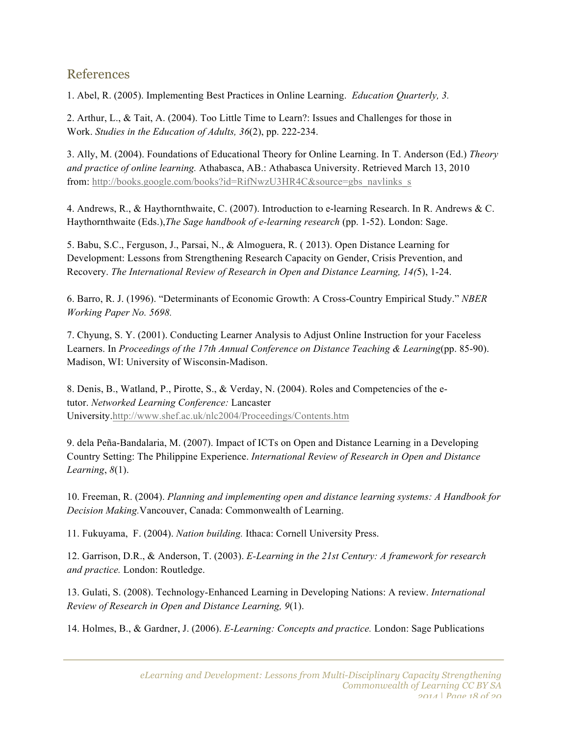# References

1. Abel, R. (2005). Implementing Best Practices in Online Learning. *Education Quarterly, 3.*

2. Arthur, L., & Tait, A. (2004). Too Little Time to Learn?: Issues and Challenges for those in Work. *Studies in the Education of Adults, 36*(2), pp. 222-234.

3. Ally, M. (2004). Foundations of Educational Theory for Online Learning. In T. Anderson (Ed.) *Theory and practice of online learning.* Athabasca, AB.: Athabasca University. Retrieved March 13, 2010 from: http://books.google.com/books?id=RifNwzU3HR4C&source=gbs\_navlinks\_s

4. Andrews, R., & Haythornthwaite, C. (2007). Introduction to e-learning Research. In R. Andrews & C. Haythornthwaite (Eds.),*The Sage handbook of e-learning research* (pp. 1-52). London: Sage.

5. Babu, S.C., Ferguson, J., Parsai, N., & Almoguera, R. ( 2013). Open Distance Learning for Development: Lessons from Strengthening Research Capacity on Gender, Crisis Prevention, and Recovery. *The International Review of Research in Open and Distance Learning, 14(*5), 1-24.

6. Barro, R. J. (1996). "Determinants of Economic Growth: A Cross-Country Empirical Study." *NBER Working Paper No. 5698.*

7. Chyung, S. Y. (2001). Conducting Learner Analysis to Adjust Online Instruction for your Faceless Learners. In *Proceedings of the 17th Annual Conference on Distance Teaching & Learning*(pp. 85-90). Madison, WI: University of Wisconsin-Madison.

8. Denis, B., Watland, P., Pirotte, S., & Verday, N. (2004). Roles and Competencies of the etutor. *Networked Learning Conference:* Lancaster University.http://www.shef.ac.uk/nlc2004/Proceedings/Contents.htm

9. dela Peña-Bandalaria, M. (2007). Impact of ICTs on Open and Distance Learning in a Developing Country Setting: The Philippine Experience. *International Review of Research in Open and Distance Learning*, *8*(1).

10. Freeman, R. (2004). *Planning and implementing open and distance learning systems: A Handbook for Decision Making.*Vancouver, Canada: Commonwealth of Learning.

11. Fukuyama, F. (2004). *Nation building.* Ithaca: Cornell University Press.

12. Garrison, D.R., & Anderson, T. (2003). *E-Learning in the 21st Century: A framework for research and practice.* London: Routledge.

13. Gulati, S. (2008). Technology-Enhanced Learning in Developing Nations: A review. *International Review of Research in Open and Distance Learning, 9*(1).

14. Holmes, B., & Gardner, J. (2006). *E-Learning: Concepts and practice.* London: Sage Publications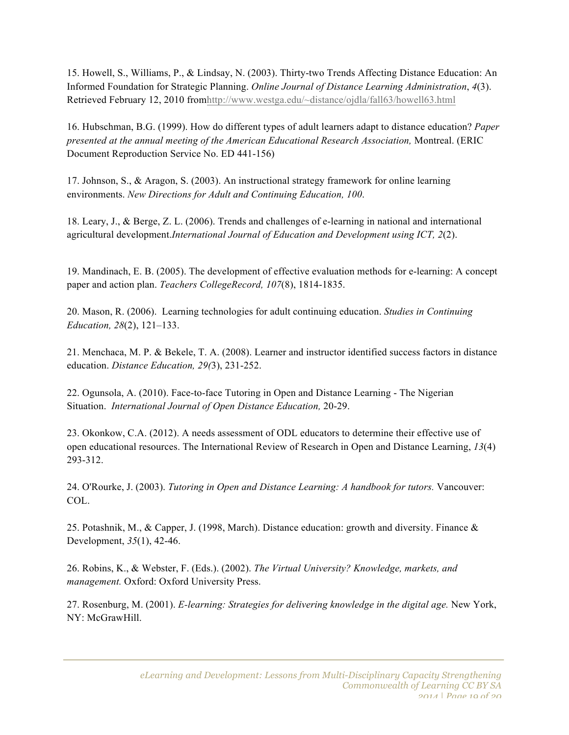15. Howell, S., Williams, P., & Lindsay, N. (2003). Thirty-two Trends Affecting Distance Education: An Informed Foundation for Strategic Planning. *Online Journal of Distance Learning Administration*, *4*(3). Retrieved February 12, 2010 fromhttp://www.westga.edu/~distance/ojdla/fall63/howell63.html

16. Hubschman, B.G. (1999). How do different types of adult learners adapt to distance education? *Paper presented at the annual meeting of the American Educational Research Association,* Montreal. (ERIC Document Reproduction Service No. ED 441-156)

17. Johnson, S., & Aragon, S. (2003). An instructional strategy framework for online learning environments. *New Directions for Adult and Continuing Education, 100*.

18. Leary, J., & Berge, Z. L. (2006). Trends and challenges of e-learning in national and international agricultural development.*International Journal of Education and Development using ICT, 2*(2).

19. Mandinach, E. B. (2005). The development of effective evaluation methods for e-learning: A concept paper and action plan. *Teachers CollegeRecord, 107*(8), 1814-1835.

20. Mason, R. (2006). Learning technologies for adult continuing education. *Studies in Continuing Education, 28*(2), 121–133.

21. Menchaca, M. P. & Bekele, T. A. (2008). Learner and instructor identified success factors in distance education. *Distance Education, 29(*3), 231-252.

22. Ogunsola, A. (2010). Face-to-face Tutoring in Open and Distance Learning - The Nigerian Situation. *International Journal of Open Distance Education,* 20-29.

23. Okonkow, C.A. (2012). A needs assessment of ODL educators to determine their effective use of open educational resources. The International Review of Research in Open and Distance Learning, *13*(4) 293-312.

24. O'Rourke, J. (2003). *Tutoring in Open and Distance Learning: A handbook for tutors.* Vancouver: COL.

25. Potashnik, M., & Capper, J. (1998, March). Distance education: growth and diversity. Finance & Development, *35*(1), 42-46.

26. Robins, K., & Webster, F. (Eds.). (2002). *The Virtual University? Knowledge, markets, and management.* Oxford: Oxford University Press.

27. Rosenburg, M. (2001). *E-learning: Strategies for delivering knowledge in the digital age.* New York, NY: McGrawHill.